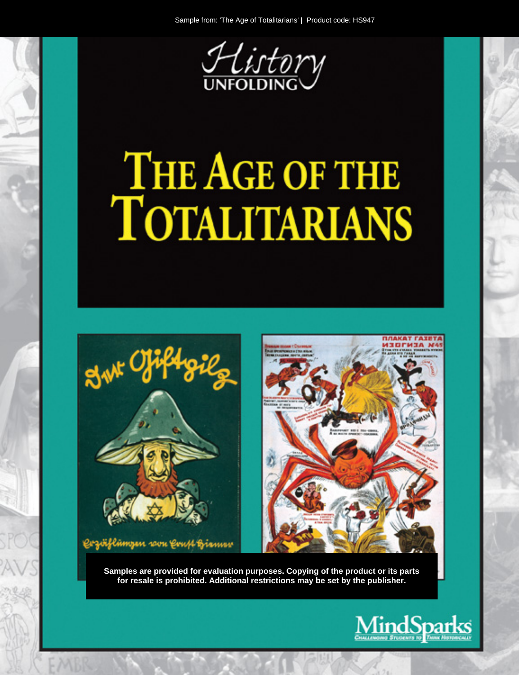

# THE AGE OF THE TOTALITARIANS



Samples are provided for evaluation purposes. Copying of the product or its parts for resale is prohibited. Additional restrictions may be set by the publisher.

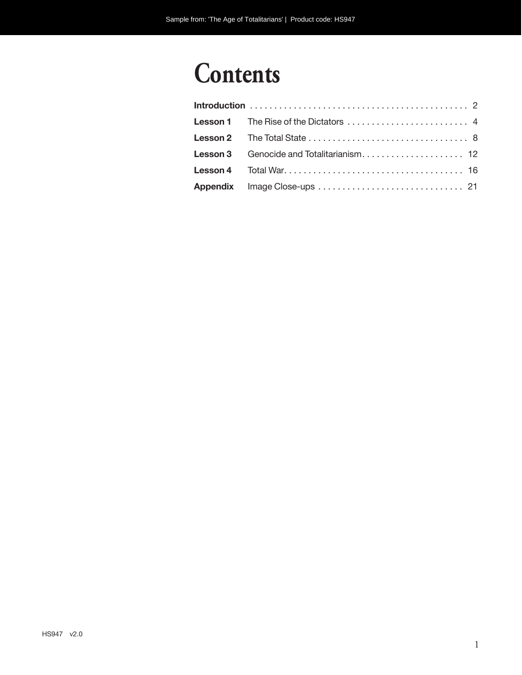# **Contents**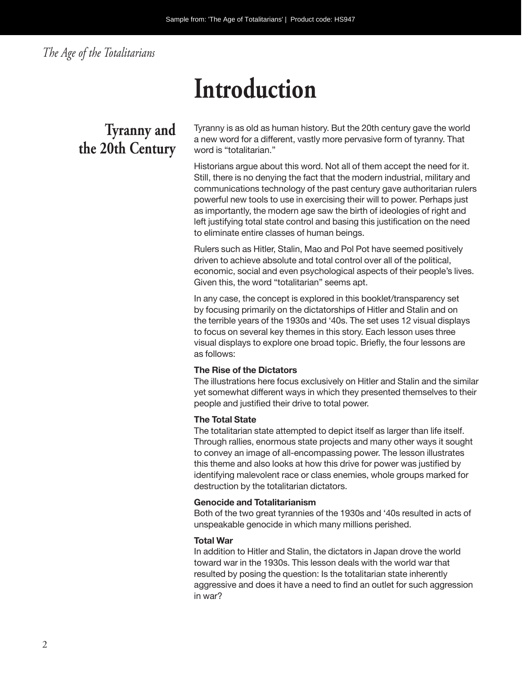### *The Age of the Totalitarians*

# **Introduction**

# **Tyranny and the 20th Century**

Tyranny is as old as human history. But the 20th century gave the world a new word for a different, vastly more pervasive form of tyranny. That word is "totalitarian."

Historians argue about this word. Not all of them accept the need for it. Still, there is no denying the fact that the modern industrial, military and communications technology of the past century gave authoritarian rulers powerful new tools to use in exercising their will to power. Perhaps just as importantly, the modern age saw the birth of ideologies of right and left justifying total state control and basing this justification on the need to eliminate entire classes of human beings.

Rulers such as Hitler, Stalin, Mao and Pol Pot have seemed positively driven to achieve absolute and total control over all of the political, economic, social and even psychological aspects of their people's lives. Given this, the word "totalitarian" seems apt.

In any case, the concept is explored in this booklet/transparency set by focusing primarily on the dictatorships of Hitler and Stalin and on the terrible years of the 1930s and '40s. The set uses 12 visual displays to focus on several key themes in this story. Each lesson uses three visual displays to explore one broad topic. Briefly, the four lessons are as follows:

#### **The Rise of the Dictators**

The illustrations here focus exclusively on Hitler and Stalin and the similar yet somewhat different ways in which they presented themselves to their people and justified their drive to total power.

#### **The Total State**

The totalitarian state attempted to depict itself as larger than life itself. Through rallies, enormous state projects and many other ways it sought to convey an image of all-encompassing power. The lesson illustrates this theme and also looks at how this drive for power was justified by identifying malevolent race or class enemies, whole groups marked for destruction by the totalitarian dictators.

#### **Genocide and Totalitarianism**

Both of the two great tyrannies of the 1930s and '40s resulted in acts of unspeakable genocide in which many millions perished.

#### **Total War**

In addition to Hitler and Stalin, the dictators in Japan drove the world toward war in the 1930s. This lesson deals with the world war that resulted by posing the question: Is the totalitarian state inherently aggressive and does it have a need to find an outlet for such aggression in war?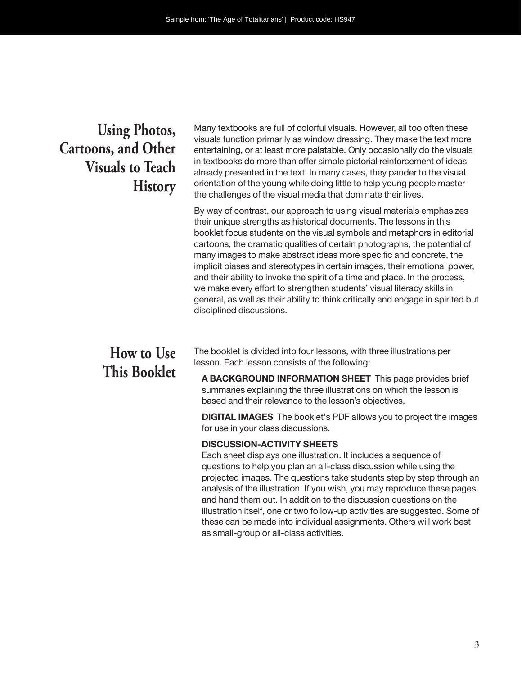## **Using Photos, Cartoons, and Other Visuals to Teach History**

Many textbooks are full of colorful visuals. However, all too often these visuals function primarily as window dressing. They make the text more entertaining, or at least more palatable. Only occasionally do the visuals in textbooks do more than offer simple pictorial reinforcement of ideas already presented in the text. In many cases, they pander to the visual orientation of the young while doing little to help young people master the challenges of the visual media that dominate their lives.

By way of contrast, our approach to using visual materials emphasizes their unique strengths as historical documents. The lessons in this booklet focus students on the visual symbols and metaphors in editorial cartoons, the dramatic qualities of certain photographs, the potential of many images to make abstract ideas more specific and concrete, the implicit biases and stereotypes in certain images, their emotional power, and their ability to invoke the spirit of a time and place. In the process, we make every effort to strengthen students' visual literacy skills in general, as well as their ability to think critically and engage in spirited but disciplined discussions.

# **How to Use This Booklet**

The booklet is divided into four lessons, with three illustrations per lesson. Each lesson consists of the following:

**A BACKGROUND INFORMATION SHEET** This page provides brief summaries explaining the three illustrations on which the lesson is based and their relevance to the lesson's objectives.

**DIGITAL IMAGES** The booklet's PDF allows you to project the images for use in your class discussions.

#### **DISCUSSION-ACTIVITY SHEETS**

Each sheet displays one illustration. It includes a sequence of questions to help you plan an all-class discussion while using the projected images. The questions take students step by step through an analysis of the illustration. If you wish, you may reproduce these pages and hand them out. In addition to the discussion questions on the illustration itself, one or two follow-up activities are suggested. Some of these can be made into individual assignments. Others will work best as small-group or all- class activities.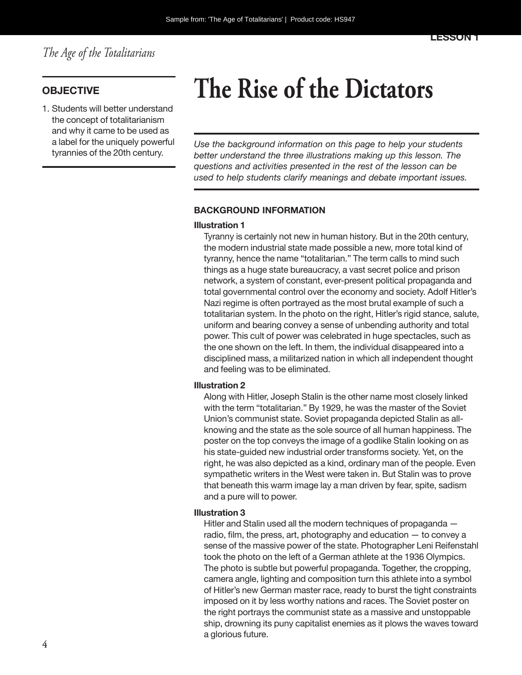1. Students will better understand the concept of totalitarianism and why it came to be used as a label for the uniquely powerful tyrannies of the 20th century.

# **OBJECTIVE The Rise of the Dictators**

*Use the background information on this page to help your students better understand the three illustrations making up this lesson. The questions and activities presented in the rest of the lesson can be used to help students clarify meanings and debate important issues.*

#### **BACKGROUND INFORMATION**

#### **Illustration 1**

Tyranny is certainly not new in human history. But in the 20th century, the modern industrial state made possible a new, more total kind of tyranny, hence the name "totalitarian." The term calls to mind such things as a huge state bureaucracy, a vast secret police and prison network, a system of constant, ever-present political propaganda and total governmental control over the economy and society. Adolf Hitler's Nazi regime is often portrayed as the most brutal example of such a totalitarian system. In the photo on the right, Hitler's rigid stance, salute, uniform and bearing convey a sense of unbending authority and total power. This cult of power was celebrated in huge spectacles, such as the one shown on the left. In them, the individual disappeared into a disciplined mass, a militarized nation in which all independent thought and feeling was to be eliminated.

#### **Illustration 2**

Along with Hitler, Joseph Stalin is the other name most closely linked with the term "totalitarian." By 1929, he was the master of the Soviet Union's communist state. Soviet propaganda depicted Stalin as allknowing and the state as the sole source of all human happiness. The poster on the top conveys the image of a godlike Stalin looking on as his state-guided new industrial order transforms society. Yet, on the right, he was also depicted as a kind, ordinary man of the people. Even sympathetic writers in the West were taken in. But Stalin was to prove that beneath this warm image lay a man driven by fear, spite, sadism and a pure will to power.

#### **Illustration 3**

Hitler and Stalin used all the modern techniques of propaganda radio, film, the press, art, photography and education — to convey a sense of the massive power of the state. Photographer Leni Reifenstahl took the photo on the left of a German athlete at the 1936 Olympics. The photo is subtle but powerful propaganda. Together, the cropping, camera angle, lighting and composition turn this athlete into a symbol of Hitler's new German master race, ready to burst the tight constraints imposed on it by less worthy nations and races. The Soviet poster on the right portrays the communist state as a massive and unstoppable ship, drowning its puny capitalist enemies as it plows the waves toward a glorious future.